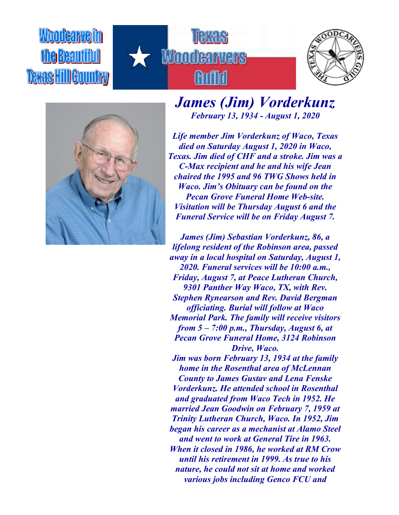## Woodcarvelin the Beautiful **Texas HillGountry**







## *James (Jim) Vorderkunz February 13, 1934 - August 1, 2020*

*Life member Jim Vorderkunz of Waco, Texas died on Saturday August 1, 2020 in Waco, Texas. Jim died of CHF and a stroke. Jim was a C-Max recipient and he and his wife Jean chaired the 1995 and 96 TWG Shows held in Waco. Jim's Obituary can be found on the Pecan Grove Funeral Home Web-site. Visitation will be Thursday August 6 and the Funeral Service will be on Friday August 7.*

*James (Jim) Sebastian Vorderkunz, 86, a lifelong resident of the Robinson area, passed away in a local hospital on Saturday, August 1, 2020. Funeral services will be 10:00 a.m., Friday, August 7, at Peace Lutheran Church, 9301 Panther Way Waco, TX, with Rev. Stephen Rynearson and Rev. David Bergman officiating. Burial will follow at Waco Memorial Park. The family will receive visitors from 5 – 7:00 p.m., Thursday, August 6, at Pecan Grove Funeral Home, 3124 Robinson Drive, Waco.*

*Jim was born February 13, 1934 at the family home in the Rosenthal area of McLennan County to James Gustav and Lena Fenske Vorderkunz. He attended school in Rosenthal and graduated from Waco Tech in 1952. He married Jean Goodwin on February 7, 1959 at Trinity Lutheran Church, Waco. In 1952, Jim began his career as a mechanist at Alamo Steel and went to work at General Tire in 1963. When it closed in 1986, he worked at RM Crow until his retirement in 1999. As true to his nature, he could not sit at home and worked various jobs including Genco FCU and*